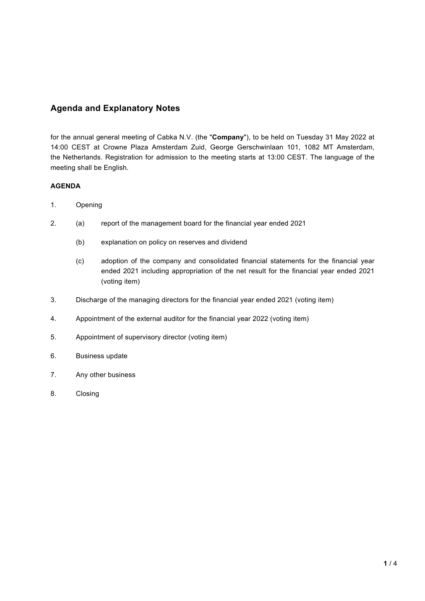# **Agenda and Explanatory Notes**

for the annual general meeting of Cabka N.V. (the "**Company**"), to be held on Tuesday 31 May 2022 at 14:00 CEST at Crowne Plaza Amsterdam Zuid, George Gerschwinlaan 101, 1082 MT Amsterdam, the Netherlands. Registration for admission to the meeting starts at 13:00 CEST. The language of the meeting shall be English.

## **AGENDA**

- 1. Opening
- 2. (a) report of the management board for the financial year ended 2021
	- (b) explanation on policy on reserves and dividend
	- (c) adoption of the company and consolidated financial statements for the financial year ended 2021 including appropriation of the net result for the financial year ended 2021 (voting item)
- 3. Discharge of the managing directors for the financial year ended 2021 (voting item)
- 4. Appointment of the external auditor for the financial year 2022 (voting item)
- 5. Appointment of supervisory director (voting item)
- 6. Business update
- 7. Any other business
- 8. Closing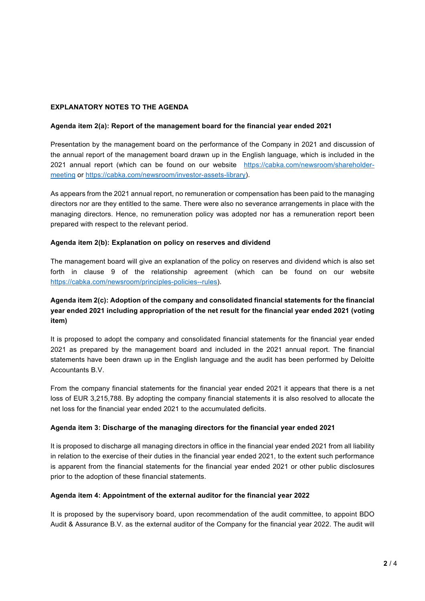### **EXPLANATORY NOTES TO THE AGENDA**

#### **Agenda item 2(a): Report of the management board for the financial year ended 2021**

Presentation by the management board on the performance of the Company in 2021 and discussion of the annual report of the management board drawn up in the English language, which is included in the 2021 annual report (which can be found on our website https://cabka.com/newsroom/shareholdermeeting or https://cabka.com/newsroom/investor-assets-library).

As appears from the 2021 annual report, no remuneration or compensation has been paid to the managing directors nor are they entitled to the same. There were also no severance arrangements in place with the managing directors. Hence, no remuneration policy was adopted nor has a remuneration report been prepared with respect to the relevant period.

#### **Agenda item 2(b): Explanation on policy on reserves and dividend**

The management board will give an explanation of the policy on reserves and dividend which is also set forth in clause 9 of the relationship agreement (which can be found on our website https://cabka.com/newsroom/principles-policies--rules).

## **Agenda item 2(c): Adoption of the company and consolidated financial statements for the financial year ended 2021 including appropriation of the net result for the financial year ended 2021 (voting item)**

It is proposed to adopt the company and consolidated financial statements for the financial year ended 2021 as prepared by the management board and included in the 2021 annual report. The financial statements have been drawn up in the English language and the audit has been performed by Deloitte Accountants B.V.

From the company financial statements for the financial year ended 2021 it appears that there is a net loss of EUR 3,215,788. By adopting the company financial statements it is also resolved to allocate the net loss for the financial year ended 2021 to the accumulated deficits.

#### **Agenda item 3: Discharge of the managing directors for the financial year ended 2021**

It is proposed to discharge all managing directors in office in the financial year ended 2021 from all liability in relation to the exercise of their duties in the financial year ended 2021, to the extent such performance is apparent from the financial statements for the financial year ended 2021 or other public disclosures prior to the adoption of these financial statements.

#### **Agenda item 4: Appointment of the external auditor for the financial year 2022**

It is proposed by the supervisory board, upon recommendation of the audit committee, to appoint BDO Audit & Assurance B.V. as the external auditor of the Company for the financial year 2022. The audit will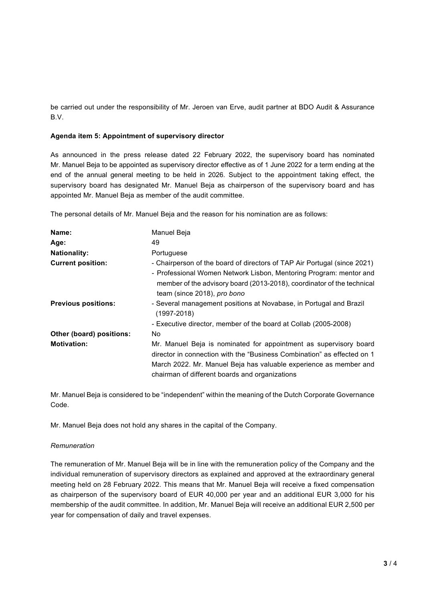be carried out under the responsibility of Mr. Jeroen van Erve, audit partner at BDO Audit & Assurance B.V.

### **Agenda item 5: Appointment of supervisory director**

As announced in the press release dated 22 February 2022, the supervisory board has nominated Mr. Manuel Beja to be appointed as supervisory director effective as of 1 June 2022 for a term ending at the end of the annual general meeting to be held in 2026. Subject to the appointment taking effect, the supervisory board has designated Mr. Manuel Beja as chairperson of the supervisory board and has appointed Mr. Manuel Beja as member of the audit committee.

The personal details of Mr. Manuel Beja and the reason for his nomination are as follows:

| Name:                      | Manuel Beja                                                                                                                                                                                                                                                         |
|----------------------------|---------------------------------------------------------------------------------------------------------------------------------------------------------------------------------------------------------------------------------------------------------------------|
| Age:                       | 49                                                                                                                                                                                                                                                                  |
| <b>Nationality:</b>        | Portuguese                                                                                                                                                                                                                                                          |
| <b>Current position:</b>   | - Chairperson of the board of directors of TAP Air Portugal (since 2021)<br>- Professional Women Network Lisbon, Mentoring Program: mentor and                                                                                                                      |
|                            | member of the advisory board (2013-2018), coordinator of the technical<br>team (since 2018), pro bono                                                                                                                                                               |
| <b>Previous positions:</b> | - Several management positions at Novabase, in Portugal and Brazil<br>$(1997 - 2018)$                                                                                                                                                                               |
|                            | - Executive director, member of the board at Collab (2005-2008)                                                                                                                                                                                                     |
| Other (board) positions:   | No                                                                                                                                                                                                                                                                  |
| <b>Motivation:</b>         | Mr. Manuel Beja is nominated for appointment as supervisory board<br>director in connection with the "Business Combination" as effected on 1<br>March 2022. Mr. Manuel Beja has valuable experience as member and<br>chairman of different boards and organizations |

Mr. Manuel Beja is considered to be "independent" within the meaning of the Dutch Corporate Governance Code.

Mr. Manuel Beja does not hold any shares in the capital of the Company.

#### *Remuneration*

The remuneration of Mr. Manuel Beja will be in line with the remuneration policy of the Company and the individual remuneration of supervisory directors as explained and approved at the extraordinary general meeting held on 28 February 2022. This means that Mr. Manuel Beja will receive a fixed compensation as chairperson of the supervisory board of EUR 40,000 per year and an additional EUR 3,000 for his membership of the audit committee. In addition, Mr. Manuel Beja will receive an additional EUR 2,500 per year for compensation of daily and travel expenses.